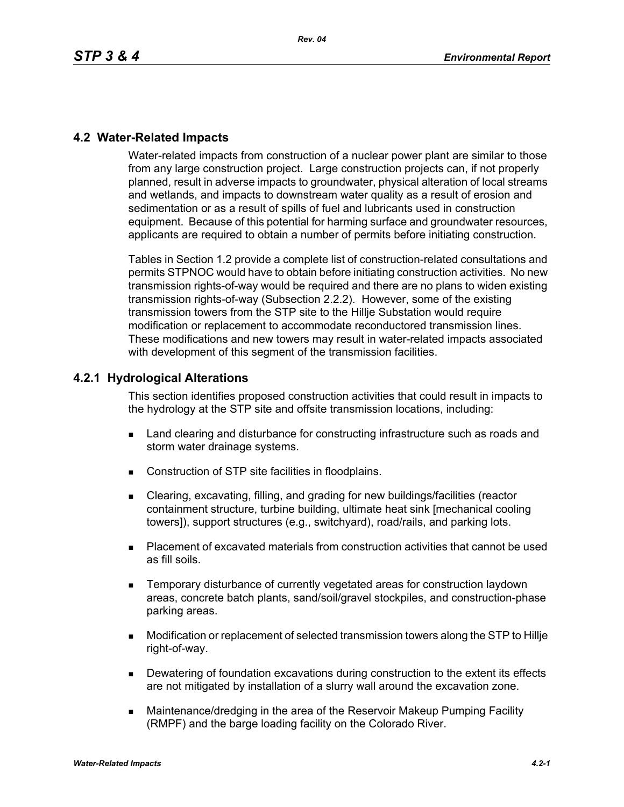# **4.2 Water-Related Impacts**

Water-related impacts from construction of a nuclear power plant are similar to those from any large construction project. Large construction projects can, if not properly planned, result in adverse impacts to groundwater, physical alteration of local streams and wetlands, and impacts to downstream water quality as a result of erosion and sedimentation or as a result of spills of fuel and lubricants used in construction equipment. Because of this potential for harming surface and groundwater resources, applicants are required to obtain a number of permits before initiating construction.

Tables in Section 1.2 provide a complete list of construction-related consultations and permits STPNOC would have to obtain before initiating construction activities. No new transmission rights-of-way would be required and there are no plans to widen existing transmission rights-of-way (Subsection 2.2.2). However, some of the existing transmission towers from the STP site to the Hillje Substation would require modification or replacement to accommodate reconductored transmission lines. These modifications and new towers may result in water-related impacts associated with development of this segment of the transmission facilities.

# **4.2.1 Hydrological Alterations**

This section identifies proposed construction activities that could result in impacts to the hydrology at the STP site and offsite transmission locations, including:

- **EXECT** Land clearing and disturbance for constructing infrastructure such as roads and storm water drainage systems.
- Construction of STP site facilities in floodplains.
- Clearing, excavating, filling, and grading for new buildings/facilities (reactor containment structure, turbine building, ultimate heat sink [mechanical cooling towers]), support structures (e.g., switchyard), road/rails, and parking lots.
- Placement of excavated materials from construction activities that cannot be used as fill soils.
- Temporary disturbance of currently vegetated areas for construction laydown areas, concrete batch plants, sand/soil/gravel stockpiles, and construction-phase parking areas.
- Modification or replacement of selected transmission towers along the STP to Hillje right-of-way.
- Dewatering of foundation excavations during construction to the extent its effects are not mitigated by installation of a slurry wall around the excavation zone.
- Maintenance/dredging in the area of the Reservoir Makeup Pumping Facility (RMPF) and the barge loading facility on the Colorado River.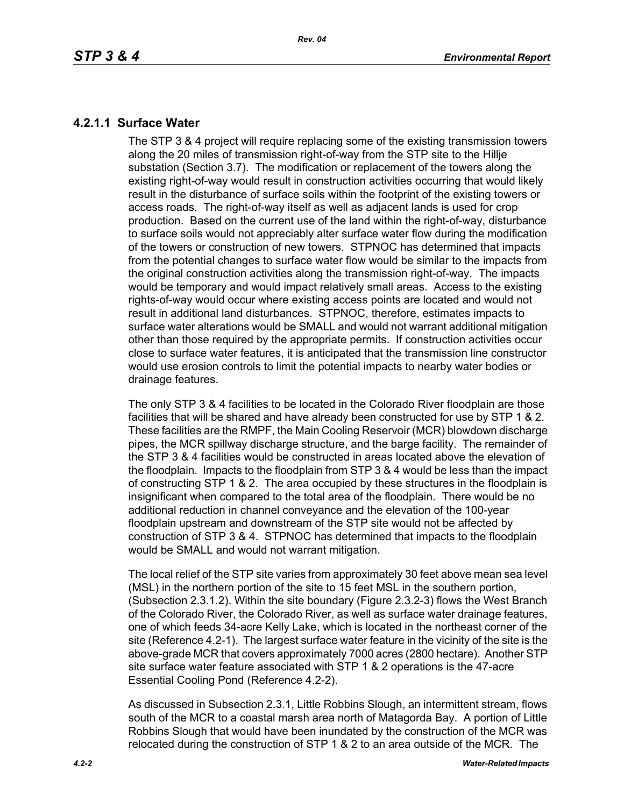# **4.2.1.1 Surface Water**

The STP 3 & 4 project will require replacing some of the existing transmission towers along the 20 miles of transmission right-of-way from the STP site to the Hillje substation (Section 3.7). The modification or replacement of the towers along the existing right-of-way would result in construction activities occurring that would likely result in the disturbance of surface soils within the footprint of the existing towers or access roads. The right-of-way itself as well as adjacent lands is used for crop production. Based on the current use of the land within the right-of-way, disturbance to surface soils would not appreciably alter surface water flow during the modification of the towers or construction of new towers. STPNOC has determined that impacts from the potential changes to surface water flow would be similar to the impacts from the original construction activities along the transmission right-of-way. The impacts would be temporary and would impact relatively small areas. Access to the existing rights-of-way would occur where existing access points are located and would not result in additional land disturbances. STPNOC, therefore, estimates impacts to surface water alterations would be SMALL and would not warrant additional mitigation other than those required by the appropriate permits. If construction activities occur close to surface water features, it is anticipated that the transmission line constructor would use erosion controls to limit the potential impacts to nearby water bodies or drainage features.

The only STP 3 & 4 facilities to be located in the Colorado River floodplain are those facilities that will be shared and have already been constructed for use by STP 1 & 2. These facilities are the RMPF, the Main Cooling Reservoir (MCR) blowdown discharge pipes, the MCR spillway discharge structure, and the barge facility. The remainder of the STP 3 & 4 facilities would be constructed in areas located above the elevation of the floodplain. Impacts to the floodplain from STP 3 & 4 would be less than the impact of constructing STP 1 & 2. The area occupied by these structures in the floodplain is insignificant when compared to the total area of the floodplain. There would be no additional reduction in channel conveyance and the elevation of the 100-year floodplain upstream and downstream of the STP site would not be affected by construction of STP 3 & 4. STPNOC has determined that impacts to the floodplain would be SMALL and would not warrant mitigation.

The local relief of the STP site varies from approximately 30 feet above mean sea level (MSL) in the northern portion of the site to 15 feet MSL in the southern portion, (Subsection 2.3.1.2). Within the site boundary (Figure 2.3.2-3) flows the West Branch of the Colorado River, the Colorado River, as well as surface water drainage features, one of which feeds 34-acre Kelly Lake, which is located in the northeast corner of the site (Reference 4.2-1). The largest surface water feature in the vicinity of the site is the above-grade MCR that covers approximately 7000 acres (2800 hectare). Another STP site surface water feature associated with STP 1 & 2 operations is the 47-acre Essential Cooling Pond (Reference 4.2-2).

As discussed in Subsection 2.3.1, Little Robbins Slough, an intermittent stream, flows south of the MCR to a coastal marsh area north of Matagorda Bay. A portion of Little Robbins Slough that would have been inundated by the construction of the MCR was relocated during the construction of STP 1 & 2 to an area outside of the MCR. The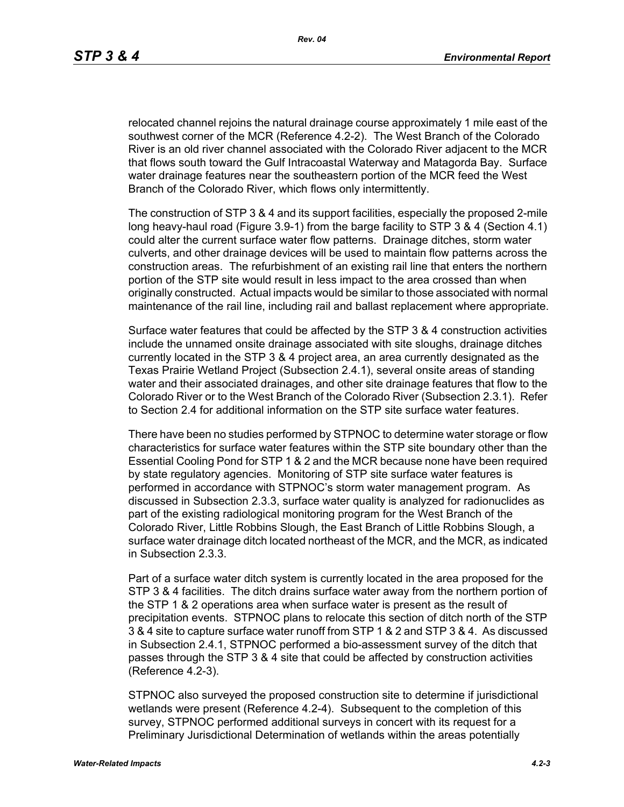relocated channel rejoins the natural drainage course approximately 1 mile east of the southwest corner of the MCR (Reference 4.2-2). The West Branch of the Colorado River is an old river channel associated with the Colorado River adjacent to the MCR that flows south toward the Gulf Intracoastal Waterway and Matagorda Bay. Surface water drainage features near the southeastern portion of the MCR feed the West Branch of the Colorado River, which flows only intermittently.

The construction of STP 3 & 4 and its support facilities, especially the proposed 2-mile long heavy-haul road (Figure 3.9-1) from the barge facility to STP 3 & 4 (Section 4.1) could alter the current surface water flow patterns. Drainage ditches, storm water culverts, and other drainage devices will be used to maintain flow patterns across the construction areas. The refurbishment of an existing rail line that enters the northern portion of the STP site would result in less impact to the area crossed than when originally constructed. Actual impacts would be similar to those associated with normal maintenance of the rail line, including rail and ballast replacement where appropriate.

Surface water features that could be affected by the STP 3 & 4 construction activities include the unnamed onsite drainage associated with site sloughs, drainage ditches currently located in the STP 3 & 4 project area, an area currently designated as the Texas Prairie Wetland Project (Subsection 2.4.1), several onsite areas of standing water and their associated drainages, and other site drainage features that flow to the Colorado River or to the West Branch of the Colorado River (Subsection 2.3.1). Refer to Section 2.4 for additional information on the STP site surface water features.

There have been no studies performed by STPNOC to determine water storage or flow characteristics for surface water features within the STP site boundary other than the Essential Cooling Pond for STP 1 & 2 and the MCR because none have been required by state regulatory agencies. Monitoring of STP site surface water features is performed in accordance with STPNOC's storm water management program. As discussed in Subsection 2.3.3, surface water quality is analyzed for radionuclides as part of the existing radiological monitoring program for the West Branch of the Colorado River, Little Robbins Slough, the East Branch of Little Robbins Slough, a surface water drainage ditch located northeast of the MCR, and the MCR, as indicated in Subsection 2.3.3.

Part of a surface water ditch system is currently located in the area proposed for the STP 3 & 4 facilities. The ditch drains surface water away from the northern portion of the STP 1 & 2 operations area when surface water is present as the result of precipitation events. STPNOC plans to relocate this section of ditch north of the STP 3 & 4 site to capture surface water runoff from STP 1 & 2 and STP 3 & 4. As discussed in Subsection 2.4.1, STPNOC performed a bio-assessment survey of the ditch that passes through the STP 3 & 4 site that could be affected by construction activities (Reference 4.2-3).

STPNOC also surveyed the proposed construction site to determine if jurisdictional wetlands were present (Reference 4.2-4). Subsequent to the completion of this survey, STPNOC performed additional surveys in concert with its request for a Preliminary Jurisdictional Determination of wetlands within the areas potentially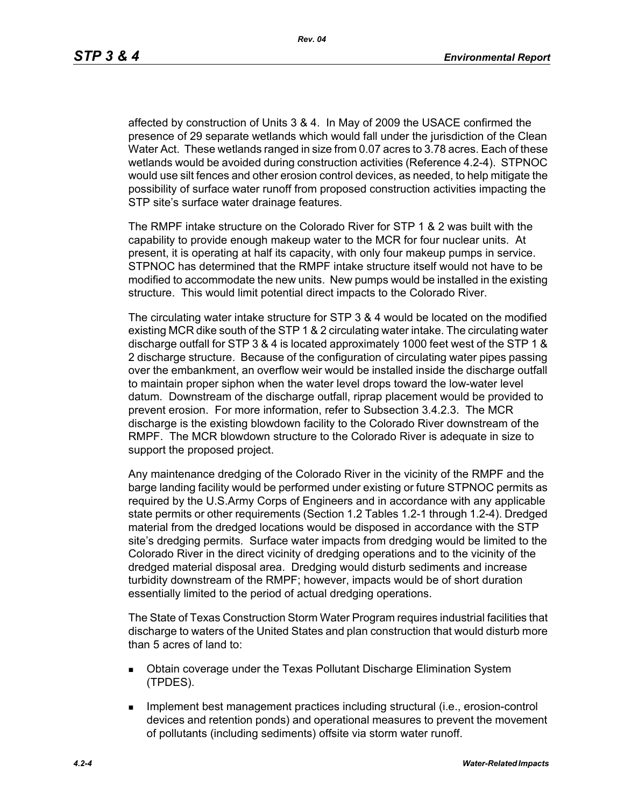affected by construction of Units 3 & 4. In May of 2009 the USACE confirmed the presence of 29 separate wetlands which would fall under the jurisdiction of the Clean Water Act. These wetlands ranged in size from 0.07 acres to 3.78 acres. Each of these wetlands would be avoided during construction activities (Reference 4.2-4). STPNOC would use silt fences and other erosion control devices, as needed, to help mitigate the possibility of surface water runoff from proposed construction activities impacting the STP site's surface water drainage features.

The RMPF intake structure on the Colorado River for STP 1 & 2 was built with the capability to provide enough makeup water to the MCR for four nuclear units. At present, it is operating at half its capacity, with only four makeup pumps in service. STPNOC has determined that the RMPF intake structure itself would not have to be modified to accommodate the new units. New pumps would be installed in the existing structure. This would limit potential direct impacts to the Colorado River.

The circulating water intake structure for STP 3 & 4 would be located on the modified existing MCR dike south of the STP 1 & 2 circulating water intake. The circulating water discharge outfall for STP 3 & 4 is located approximately 1000 feet west of the STP 1 & 2 discharge structure. Because of the configuration of circulating water pipes passing over the embankment, an overflow weir would be installed inside the discharge outfall to maintain proper siphon when the water level drops toward the low-water level datum. Downstream of the discharge outfall, riprap placement would be provided to prevent erosion. For more information, refer to Subsection 3.4.2.3. The MCR discharge is the existing blowdown facility to the Colorado River downstream of the RMPF. The MCR blowdown structure to the Colorado River is adequate in size to support the proposed project.

Any maintenance dredging of the Colorado River in the vicinity of the RMPF and the barge landing facility would be performed under existing or future STPNOC permits as required by the U.S.Army Corps of Engineers and in accordance with any applicable state permits or other requirements (Section 1.2 Tables 1.2-1 through 1.2-4). Dredged material from the dredged locations would be disposed in accordance with the STP site's dredging permits. Surface water impacts from dredging would be limited to the Colorado River in the direct vicinity of dredging operations and to the vicinity of the dredged material disposal area. Dredging would disturb sediments and increase turbidity downstream of the RMPF; however, impacts would be of short duration essentially limited to the period of actual dredging operations.

The State of Texas Construction Storm Water Program requires industrial facilities that discharge to waters of the United States and plan construction that would disturb more than 5 acres of land to:

- Obtain coverage under the Texas Pollutant Discharge Elimination System (TPDES).
- **IMPLEMENT MANAGEMENT EXAMPLE THE IMPLEMENT INCORDIT IN THE IMPLEMENT INCORDIT IN THE IMPLEMENT INCORDIT IN THE IMPLEMENT INCORDIT** devices and retention ponds) and operational measures to prevent the movement of pollutants (including sediments) offsite via storm water runoff.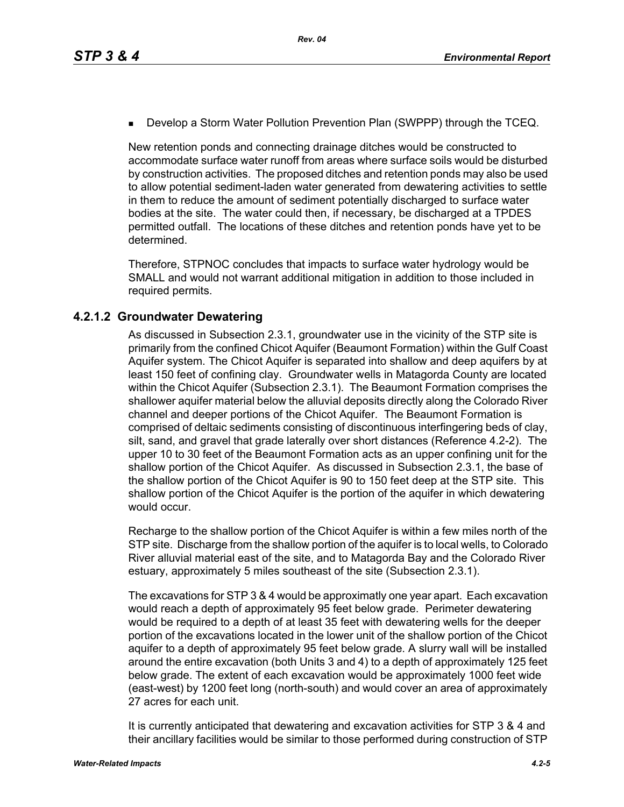**Develop a Storm Water Pollution Prevention Plan (SWPPP) through the TCEQ.** 

New retention ponds and connecting drainage ditches would be constructed to accommodate surface water runoff from areas where surface soils would be disturbed by construction activities. The proposed ditches and retention ponds may also be used to allow potential sediment-laden water generated from dewatering activities to settle in them to reduce the amount of sediment potentially discharged to surface water bodies at the site. The water could then, if necessary, be discharged at a TPDES permitted outfall. The locations of these ditches and retention ponds have yet to be determined.

Therefore, STPNOC concludes that impacts to surface water hydrology would be SMALL and would not warrant additional mitigation in addition to those included in required permits.

# **4.2.1.2 Groundwater Dewatering**

As discussed in Subsection 2.3.1, groundwater use in the vicinity of the STP site is primarily from the confined Chicot Aquifer (Beaumont Formation) within the Gulf Coast Aquifer system. The Chicot Aquifer is separated into shallow and deep aquifers by at least 150 feet of confining clay. Groundwater wells in Matagorda County are located within the Chicot Aquifer (Subsection 2.3.1). The Beaumont Formation comprises the shallower aquifer material below the alluvial deposits directly along the Colorado River channel and deeper portions of the Chicot Aquifer. The Beaumont Formation is comprised of deltaic sediments consisting of discontinuous interfingering beds of clay, silt, sand, and gravel that grade laterally over short distances (Reference 4.2-2). The upper 10 to 30 feet of the Beaumont Formation acts as an upper confining unit for the shallow portion of the Chicot Aquifer. As discussed in Subsection 2.3.1, the base of the shallow portion of the Chicot Aquifer is 90 to 150 feet deep at the STP site. This shallow portion of the Chicot Aquifer is the portion of the aquifer in which dewatering would occur.

Recharge to the shallow portion of the Chicot Aquifer is within a few miles north of the STP site. Discharge from the shallow portion of the aquifer is to local wells, to Colorado River alluvial material east of the site, and to Matagorda Bay and the Colorado River estuary, approximately 5 miles southeast of the site (Subsection 2.3.1).

The excavations for STP 3 & 4 would be approximatly one year apart. Each excavation would reach a depth of approximately 95 feet below grade. Perimeter dewatering would be required to a depth of at least 35 feet with dewatering wells for the deeper portion of the excavations located in the lower unit of the shallow portion of the Chicot aquifer to a depth of approximately 95 feet below grade. A slurry wall will be installed around the entire excavation (both Units 3 and 4) to a depth of approximately 125 feet below grade. The extent of each excavation would be approximately 1000 feet wide (east-west) by 1200 feet long (north-south) and would cover an area of approximately 27 acres for each unit.

It is currently anticipated that dewatering and excavation activities for STP 3 & 4 and their ancillary facilities would be similar to those performed during construction of STP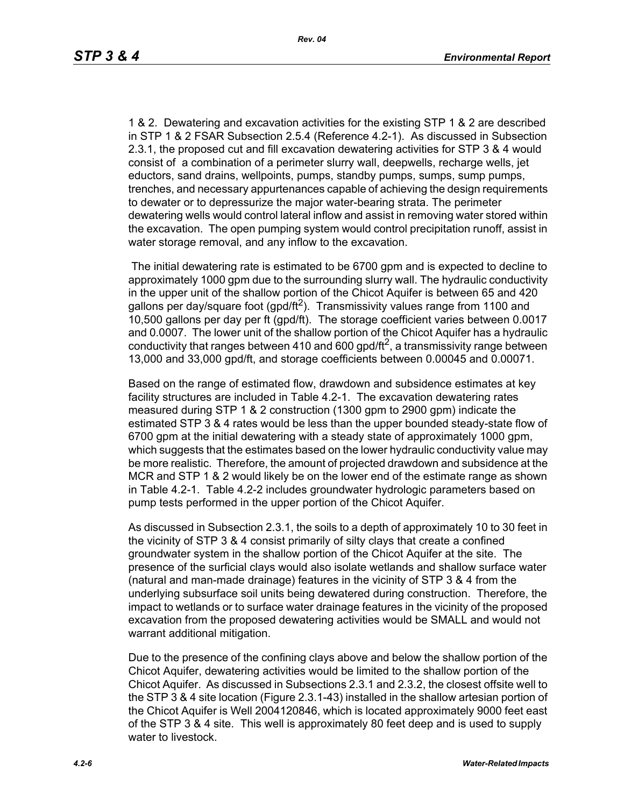1 & 2. Dewatering and excavation activities for the existing STP 1 & 2 are described in STP 1 & 2 FSAR Subsection 2.5.4 (Reference 4.2-1). As discussed in Subsection 2.3.1, the proposed cut and fill excavation dewatering activities for STP 3 & 4 would consist of a combination of a perimeter slurry wall, deepwells, recharge wells, jet eductors, sand drains, wellpoints, pumps, standby pumps, sumps, sump pumps, trenches, and necessary appurtenances capable of achieving the design requirements to dewater or to depressurize the major water-bearing strata. The perimeter dewatering wells would control lateral inflow and assist in removing water stored within the excavation. The open pumping system would control precipitation runoff, assist in water storage removal, and any inflow to the excavation.

 The initial dewatering rate is estimated to be 6700 gpm and is expected to decline to approximately 1000 gpm due to the surrounding slurry wall. The hydraulic conductivity in the upper unit of the shallow portion of the Chicot Aquifer is between 65 and 420 gallons per day/square foot (gpd/ft<sup>2</sup>). Transmissivity values range from 1100 and 10,500 gallons per day per ft (gpd/ft). The storage coefficient varies between 0.0017 and 0.0007. The lower unit of the shallow portion of the Chicot Aquifer has a hydraulic conductivity that ranges between 410 and 600 gpd/ft<sup>2</sup>, a transmissivity range between 13,000 and 33,000 gpd/ft, and storage coefficients between 0.00045 and 0.00071.

Based on the range of estimated flow, drawdown and subsidence estimates at key facility structures are included in Table 4.2-1. The excavation dewatering rates measured during STP 1 & 2 construction (1300 gpm to 2900 gpm) indicate the estimated STP 3 & 4 rates would be less than the upper bounded steady-state flow of 6700 gpm at the initial dewatering with a steady state of approximately 1000 gpm, which suggests that the estimates based on the lower hydraulic conductivity value may be more realistic. Therefore, the amount of projected drawdown and subsidence at the MCR and STP 1 & 2 would likely be on the lower end of the estimate range as shown in Table 4.2-1. Table 4.2-2 includes groundwater hydrologic parameters based on pump tests performed in the upper portion of the Chicot Aquifer.

As discussed in Subsection 2.3.1, the soils to a depth of approximately 10 to 30 feet in the vicinity of STP 3 & 4 consist primarily of silty clays that create a confined groundwater system in the shallow portion of the Chicot Aquifer at the site. The presence of the surficial clays would also isolate wetlands and shallow surface water (natural and man-made drainage) features in the vicinity of STP 3 & 4 from the underlying subsurface soil units being dewatered during construction. Therefore, the impact to wetlands or to surface water drainage features in the vicinity of the proposed excavation from the proposed dewatering activities would be SMALL and would not warrant additional mitigation.

Due to the presence of the confining clays above and below the shallow portion of the Chicot Aquifer, dewatering activities would be limited to the shallow portion of the Chicot Aquifer. As discussed in Subsections 2.3.1 and 2.3.2, the closest offsite well to the STP 3 & 4 site location (Figure 2.3.1-43) installed in the shallow artesian portion of the Chicot Aquifer is Well 2004120846, which is located approximately 9000 feet east of the STP 3 & 4 site. This well is approximately 80 feet deep and is used to supply water to livestock.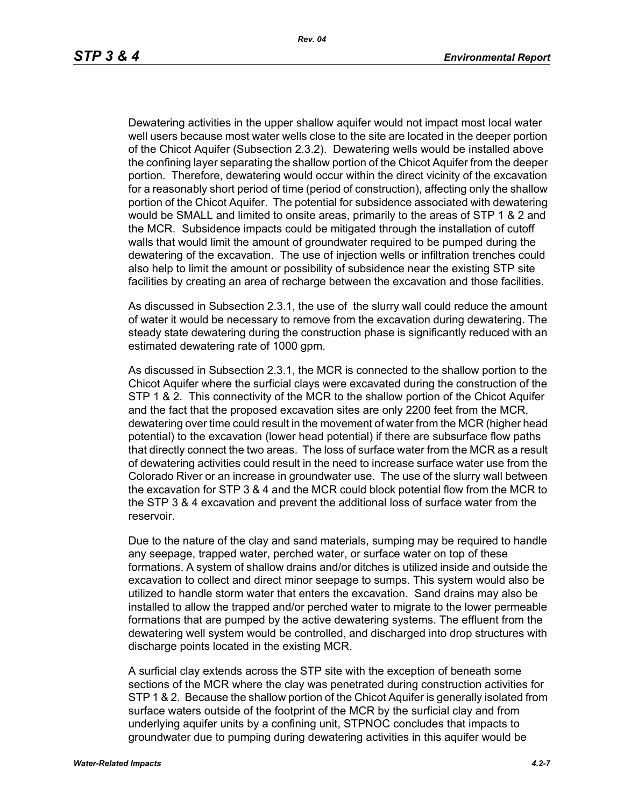Dewatering activities in the upper shallow aquifer would not impact most local water well users because most water wells close to the site are located in the deeper portion of the Chicot Aquifer (Subsection 2.3.2). Dewatering wells would be installed above the confining layer separating the shallow portion of the Chicot Aquifer from the deeper portion. Therefore, dewatering would occur within the direct vicinity of the excavation for a reasonably short period of time (period of construction), affecting only the shallow portion of the Chicot Aquifer. The potential for subsidence associated with dewatering would be SMALL and limited to onsite areas, primarily to the areas of STP 1 & 2 and the MCR. Subsidence impacts could be mitigated through the installation of cutoff walls that would limit the amount of groundwater required to be pumped during the dewatering of the excavation. The use of injection wells or infiltration trenches could also help to limit the amount or possibility of subsidence near the existing STP site facilities by creating an area of recharge between the excavation and those facilities.

As discussed in Subsection 2.3.1, the use of the slurry wall could reduce the amount of water it would be necessary to remove from the excavation during dewatering. The steady state dewatering during the construction phase is significantly reduced with an estimated dewatering rate of 1000 gpm.

As discussed in Subsection 2.3.1, the MCR is connected to the shallow portion to the Chicot Aquifer where the surficial clays were excavated during the construction of the STP 1 & 2. This connectivity of the MCR to the shallow portion of the Chicot Aquifer and the fact that the proposed excavation sites are only 2200 feet from the MCR, dewatering over time could result in the movement of water from the MCR (higher head potential) to the excavation (lower head potential) if there are subsurface flow paths that directly connect the two areas. The loss of surface water from the MCR as a result of dewatering activities could result in the need to increase surface water use from the Colorado River or an increase in groundwater use. The use of the slurry wall between the excavation for STP 3 & 4 and the MCR could block potential flow from the MCR to the STP 3 & 4 excavation and prevent the additional loss of surface water from the reservoir.

Due to the nature of the clay and sand materials, sumping may be required to handle any seepage, trapped water, perched water, or surface water on top of these formations. A system of shallow drains and/or ditches is utilized inside and outside the excavation to collect and direct minor seepage to sumps. This system would also be utilized to handle storm water that enters the excavation. Sand drains may also be installed to allow the trapped and/or perched water to migrate to the lower permeable formations that are pumped by the active dewatering systems. The effluent from the dewatering well system would be controlled, and discharged into drop structures with discharge points located in the existing MCR.

A surficial clay extends across the STP site with the exception of beneath some sections of the MCR where the clay was penetrated during construction activities for STP 1 & 2. Because the shallow portion of the Chicot Aquifer is generally isolated from surface waters outside of the footprint of the MCR by the surficial clay and from underlying aquifer units by a confining unit, STPNOC concludes that impacts to groundwater due to pumping during dewatering activities in this aquifer would be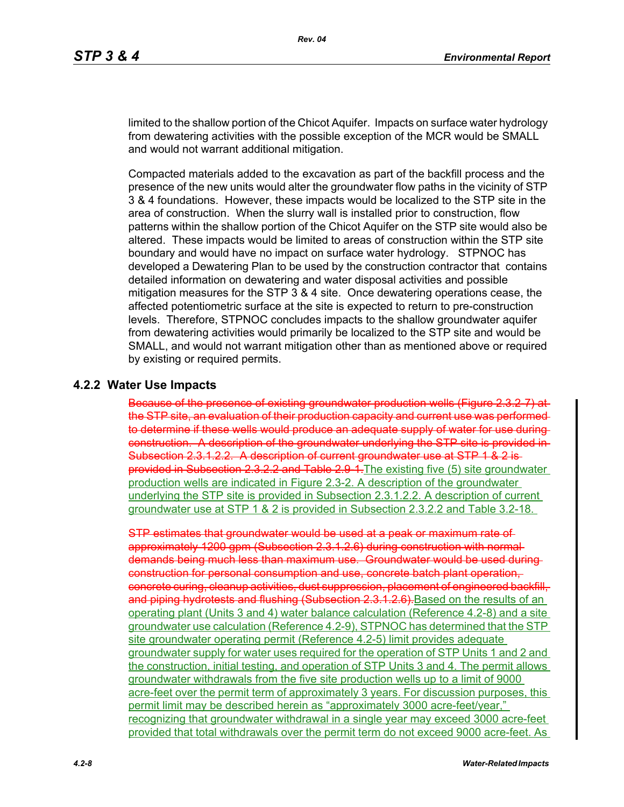limited to the shallow portion of the Chicot Aquifer. Impacts on surface water hydrology from dewatering activities with the possible exception of the MCR would be SMALL and would not warrant additional mitigation.

Compacted materials added to the excavation as part of the backfill process and the presence of the new units would alter the groundwater flow paths in the vicinity of STP 3 & 4 foundations. However, these impacts would be localized to the STP site in the area of construction. When the slurry wall is installed prior to construction, flow patterns within the shallow portion of the Chicot Aquifer on the STP site would also be altered. These impacts would be limited to areas of construction within the STP site boundary and would have no impact on surface water hydrology. STPNOC has developed a Dewatering Plan to be used by the construction contractor that contains detailed information on dewatering and water disposal activities and possible mitigation measures for the STP 3 & 4 site. Once dewatering operations cease, the affected potentiometric surface at the site is expected to return to pre-construction levels. Therefore, STPNOC concludes impacts to the shallow groundwater aquifer from dewatering activities would primarily be localized to the STP site and would be SMALL, and would not warrant mitigation other than as mentioned above or required by existing or required permits.

#### **4.2.2 Water Use Impacts**

Because of the presence of existing groundwater production wells (Figure 2.3.2-7) at the STP site, an evaluation of their production capacity and current use was performed to determine if these wells would produce an adequate supply of water for use during construction. A description of the groundwater underlying the STP site is provided in Subsection 2.3.1.2.2. A description of current groundwater use at STP 1 & 2 isprovided in Subsection 2.3.2.2 and Table 2.9 1. The existing five (5) site groundwater production wells are indicated in Figure 2.3-2. A description of the groundwater underlying the STP site is provided in Subsection 2.3.1.2.2. A description of current groundwater use at STP 1 & 2 is provided in Subsection 2.3.2.2 and Table 3.2-18.

would be used at a peak or approximately 1200 gpm (Subsection 2.3.1.2.6) during construction with normal demands being much less than maximum use. Groundwater would be used during construction for personal consumption and use, concrete batch plant operation, concrete curing, cleanup activities, dust suppression, placement of engineered backfill, and piping hydrotests and flushing (Subsection 2.3.1.2.6). Based on the results of an operating plant (Units 3 and 4) water balance calculation (Reference 4.2-8) and a site groundwater use calculation (Reference 4.2-9), STPNOC has determined that the STP site groundwater operating permit (Reference 4.2-5) limit provides adequate groundwater supply for water uses required for the operation of STP Units 1 and 2 and the construction, initial testing, and operation of STP Units 3 and 4. The permit allows groundwater withdrawals from the five site production wells up to a limit of 9000 acre-feet over the permit term of approximately 3 years. For discussion purposes, this permit limit may be described herein as "approximately 3000 acre-feet/year," recognizing that groundwater withdrawal in a single year may exceed 3000 acre-feet provided that total withdrawals over the permit term do not exceed 9000 acre-feet. As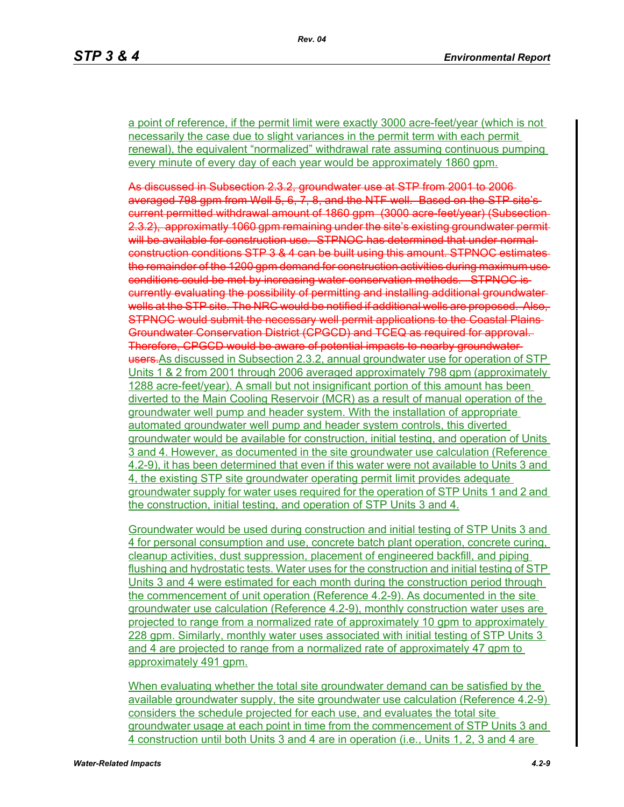a point of reference, if the permit limit were exactly 3000 acre-feet/year (which is not necessarily the case due to slight variances in the permit term with each permit renewal), the equivalent "normalized" withdrawal rate assuming continuous pumping every minute of every day of each year would be approximately 1860 gpm.

As discussed in Subsection 2.3.2, groundwater use at STP from 2001 to 2006 averaged 798 gpm from Well 5, 6, 7, 8, and the NTF well. Based on the STP site's current permitted withdrawal amount of 1860 gpm (3000 acre-feet/year) (Subsection 2.3.2), approximatly 1060 gpm remaining under the site's existing groundwater permit will be available for construction use. STPNOC has determined that under normalconstruction conditions STP 3 & 4 can be built using this amount. STPNOC estimates the remainder of the 1200 gpm demand for construction activities during maximum use conditions could be met by increasing water conservation methods. STPNOC is currently evaluating the possibility of permitting and installing additional groundwater wells at the STP site. The NRC would be notified if additional wells are proposed. Also, STPNOC would submit the necessary well permit applications to the Coastal Plains Groundwater Conservation District (CPGCD) and TCEQ as required for approval. Therefore, CPGCD would be aware of potential impacts to nearby groundwater users. As discussed in Subsection 2.3.2, annual groundwater use for operation of STP Units 1 & 2 from 2001 through 2006 averaged approximately 798 gpm (approximately 1288 acre-feet/year). A small but not insignificant portion of this amount has been diverted to the Main Cooling Reservoir (MCR) as a result of manual operation of the groundwater well pump and header system. With the installation of appropriate automated groundwater well pump and header system controls, this diverted groundwater would be available for construction, initial testing, and operation of Units 3 and 4. However, as documented in the site groundwater use calculation (Reference 4.2-9), it has been determined that even if this water were not available to Units 3 and 4, the existing STP site groundwater operating permit limit provides adequate groundwater supply for water uses required for the operation of STP Units 1 and 2 and the construction, initial testing, and operation of STP Units 3 and 4.

Groundwater would be used during construction and initial testing of STP Units 3 and 4 for personal consumption and use, concrete batch plant operation, concrete curing, cleanup activities, dust suppression, placement of engineered backfill, and piping flushing and hydrostatic tests. Water uses for the construction and initial testing of STP Units 3 and 4 were estimated for each month during the construction period through the commencement of unit operation (Reference 4.2-9). As documented in the site groundwater use calculation (Reference 4.2-9), monthly construction water uses are projected to range from a normalized rate of approximately 10 gpm to approximately 228 gpm. Similarly, monthly water uses associated with initial testing of STP Units 3 and 4 are projected to range from a normalized rate of approximately 47 gpm to approximately 491 gpm.

When evaluating whether the total site groundwater demand can be satisfied by the available groundwater supply, the site groundwater use calculation (Reference 4.2-9) considers the schedule projected for each use, and evaluates the total site groundwater usage at each point in time from the commencement of STP Units 3 and 4 construction until both Units 3 and 4 are in operation (i.e., Units 1, 2, 3 and 4 are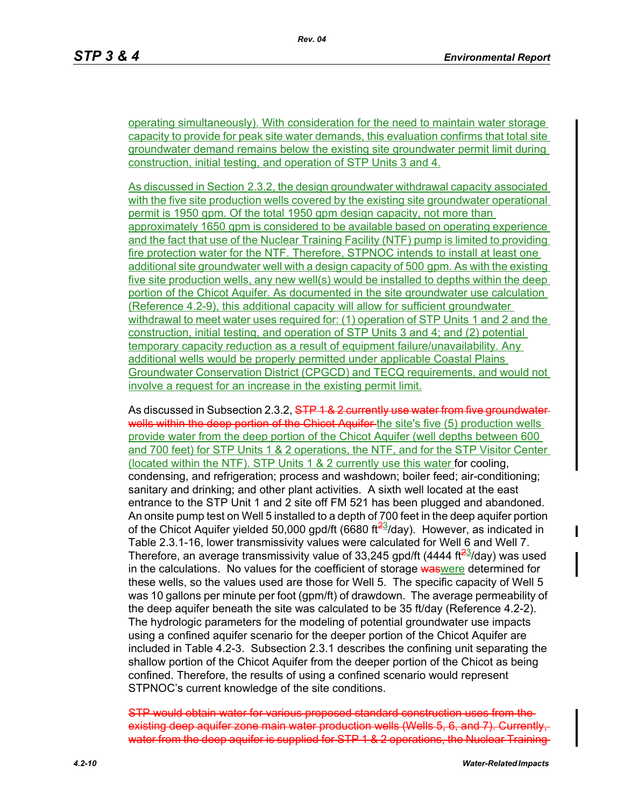operating simultaneously). With consideration for the need to maintain water storage capacity to provide for peak site water demands, this evaluation confirms that total site groundwater demand remains below the existing site groundwater permit limit during construction, initial testing, and operation of STP Units 3 and 4.

As discussed in Section 2.3.2, the design groundwater withdrawal capacity associated with the five site production wells covered by the existing site groundwater operational permit is 1950 gpm. Of the total 1950 gpm design capacity, not more than approximately 1650 gpm is considered to be available based on operating experience and the fact that use of the Nuclear Training Facility (NTF) pump is limited to providing fire protection water for the NTF. Therefore, STPNOC intends to install at least one additional site groundwater well with a design capacity of 500 gpm. As with the existing five site production wells, any new well(s) would be installed to depths within the deep portion of the Chicot Aquifer. As documented in the site groundwater use calculation (Reference 4.2-9), this additional capacity will allow for sufficient groundwater withdrawal to meet water uses required for: (1) operation of STP Units 1 and 2 and the construction, initial testing, and operation of STP Units 3 and 4; and (2) potential temporary capacity reduction as a result of equipment failure/unavailability. Any additional wells would be properly permitted under applicable Coastal Plains Groundwater Conservation District (CPGCD) and TECQ requirements, and would not involve a request for an increase in the existing permit limit.

As discussed in Subsection 2.3.2, STP 1 & 2 currently use water from five groundwaterwells within the deep portion of the Chicot Aquifer the site's five (5) production wells provide water from the deep portion of the Chicot Aquifer (well depths between 600 and 700 feet) for STP Units 1 & 2 operations, the NTF, and for the STP Visitor Center (located within the NTF). STP Units 1 & 2 currently use this water for cooling, condensing, and refrigeration; process and washdown; boiler feed; air-conditioning; sanitary and drinking; and other plant activities. A sixth well located at the east entrance to the STP Unit 1 and 2 site off FM 521 has been plugged and abandoned. An onsite pump test on Well 5 installed to a depth of 700 feet in the deep aquifer portion of the Chicot Aquifer yielded 50,000 gpd/ft (6680 ft $\frac{23}{1}$ day). However, as indicated in Table 2.3.1-16, lower transmissivity values were calculated for Well 6 and Well 7. Therefore, an average transmissivity value of 33,245 gpd/ft (4444 ft $\frac{23}{3}$ day) was used in the calculations. No values for the coefficient of storage was were determined for these wells, so the values used are those for Well 5. The specific capacity of Well 5 was 10 gallons per minute per foot (gpm/ft) of drawdown. The average permeability of the deep aquifer beneath the site was calculated to be 35 ft/day (Reference 4.2-2). The hydrologic parameters for the modeling of potential groundwater use impacts using a confined aquifer scenario for the deeper portion of the Chicot Aquifer are included in Table 4.2-3. Subsection 2.3.1 describes the confining unit separating the shallow portion of the Chicot Aquifer from the deeper portion of the Chicot as being confined. Therefore, the results of using a confined scenario would represent STPNOC's current knowledge of the site conditions.

STP would obtain water for various proposed standard construction uses from the existing deep aquifer zone main water production wells (Wells 5, 6, and 7). Currently, water from the deep aquifer is supplied for STP 1 & 2 operations, the Nuclear Training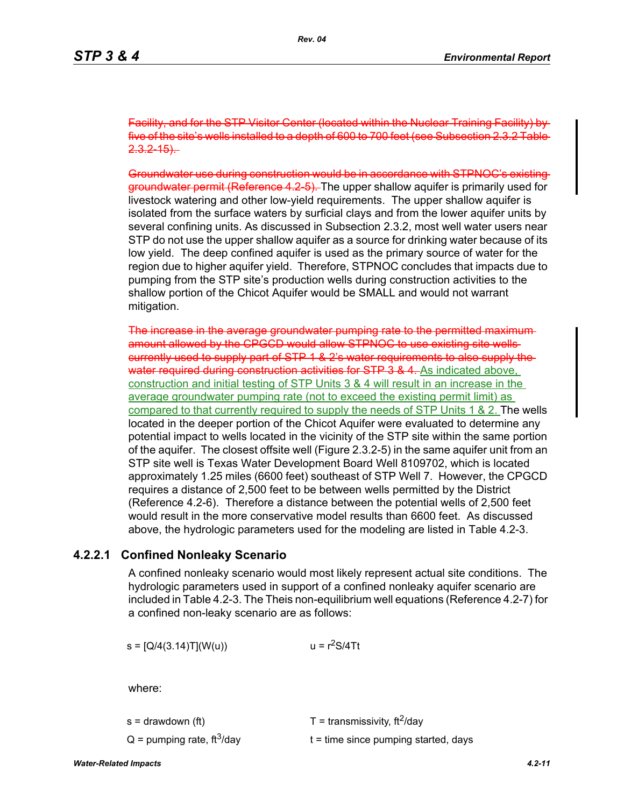Facility, and for the STP Visitor Center (located within the Nuclear Training five of the site's wells installed to a depth of 600 to 700 feet (see Subsection 2.3.2  $2.3.2 - 15$ .

Groundwater use during construction would be in accordance with STPNOC's existing groundwater permit (Reference 4.2-5). The upper shallow aquifer is primarily used for livestock watering and other low-yield requirements. The upper shallow aquifer is isolated from the surface waters by surficial clays and from the lower aquifer units by several confining units. As discussed in Subsection 2.3.2, most well water users near STP do not use the upper shallow aquifer as a source for drinking water because of its low yield. The deep confined aquifer is used as the primary source of water for the region due to higher aquifer yield. Therefore, STPNOC concludes that impacts due to pumping from the STP site's production wells during construction activities to the shallow portion of the Chicot Aquifer would be SMALL and would not warrant mitigation.

The increase in the average groundwater pumping rate to the permitted maximum amount allowed by the CPGCD would allow STPNOC to use existing site wells currently used to supply part of STP 1 & 2's water requirements to also supply the water required during construction activities for STP 3 & 4. As indicated above, construction and initial testing of STP Units 3 & 4 will result in an increase in the average groundwater pumping rate (not to exceed the existing permit limit) as compared to that currently required to supply the needs of STP Units 1 & 2. The wells located in the deeper portion of the Chicot Aquifer were evaluated to determine any potential impact to wells located in the vicinity of the STP site within the same portion of the aquifer. The closest offsite well (Figure 2.3.2-5) in the same aquifer unit from an STP site well is Texas Water Development Board Well 8109702, which is located approximately 1.25 miles (6600 feet) southeast of STP Well 7. However, the CPGCD requires a distance of 2,500 feet to be between wells permitted by the District (Reference 4.2-6). Therefore a distance between the potential wells of 2,500 feet would result in the more conservative model results than 6600 feet. As discussed above, the hydrologic parameters used for the modeling are listed in Table 4.2-3.

### **4.2.2.1 Confined Nonleaky Scenario**

A confined nonleaky scenario would most likely represent actual site conditions. The hydrologic parameters used in support of a confined nonleaky aquifer scenario are included in Table 4.2-3. The Theis non-equilibrium well equations (Reference 4.2-7) for a confined non-leaky scenario are as follows:

 $s = [Q/4(3.14)T](W(u))$   $u = r<sup>2</sup>S/4Tt$ 

where:

| s = drawdown (ft)                        | T = transmissivity, $\text{ft}^2/\text{day}$ |
|------------------------------------------|----------------------------------------------|
| $Q =$ pumping rate, ft <sup>3</sup> /day | $t =$ time since pumping started, days       |

*Water-Related Impacts 4.2-11*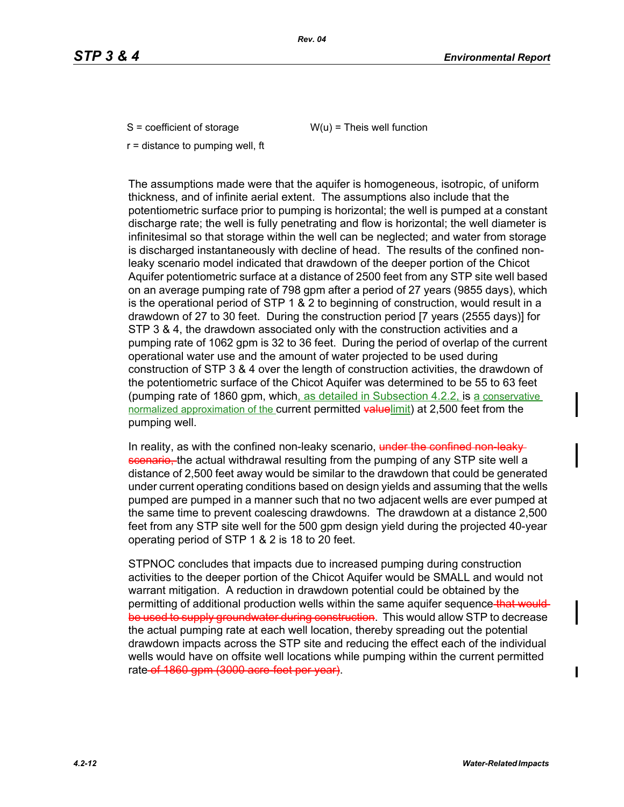$S =$  coefficient of storage  $W(u) =$  Theis well function

r = distance to pumping well, ft

The assumptions made were that the aquifer is homogeneous, isotropic, of uniform thickness, and of infinite aerial extent. The assumptions also include that the potentiometric surface prior to pumping is horizontal; the well is pumped at a constant discharge rate; the well is fully penetrating and flow is horizontal; the well diameter is infinitesimal so that storage within the well can be neglected; and water from storage is discharged instantaneously with decline of head. The results of the confined nonleaky scenario model indicated that drawdown of the deeper portion of the Chicot Aquifer potentiometric surface at a distance of 2500 feet from any STP site well based on an average pumping rate of 798 gpm after a period of 27 years (9855 days), which is the operational period of STP 1 & 2 to beginning of construction, would result in a drawdown of 27 to 30 feet. During the construction period [7 years (2555 days)] for STP 3 & 4, the drawdown associated only with the construction activities and a pumping rate of 1062 gpm is 32 to 36 feet. During the period of overlap of the current operational water use and the amount of water projected to be used during construction of STP 3 & 4 over the length of construction activities, the drawdown of the potentiometric surface of the Chicot Aquifer was determined to be 55 to 63 feet (pumping rate of 1860 gpm, which, as detailed in Subsection 4.2.2, is a conservative normalized approximation of the current permitted valuelimit) at 2,500 feet from the pumping well.

In reality, as with the confined non-leaky scenario, under the confined non-leakyscenario, the actual withdrawal resulting from the pumping of any STP site well a distance of 2,500 feet away would be similar to the drawdown that could be generated under current operating conditions based on design yields and assuming that the wells pumped are pumped in a manner such that no two adjacent wells are ever pumped at the same time to prevent coalescing drawdowns. The drawdown at a distance 2,500 feet from any STP site well for the 500 gpm design yield during the projected 40-year operating period of STP 1 & 2 is 18 to 20 feet.

STPNOC concludes that impacts due to increased pumping during construction activities to the deeper portion of the Chicot Aquifer would be SMALL and would not warrant mitigation. A reduction in drawdown potential could be obtained by the permitting of additional production wells within the same aquifer sequence that wouldbe used to supply groundwater during construction. This would allow STP to decrease the actual pumping rate at each well location, thereby spreading out the potential drawdown impacts across the STP site and reducing the effect each of the individual wells would have on offsite well locations while pumping within the current permitted rate of 1860 gpm (3000 acre-feet per year).

 $\blacksquare$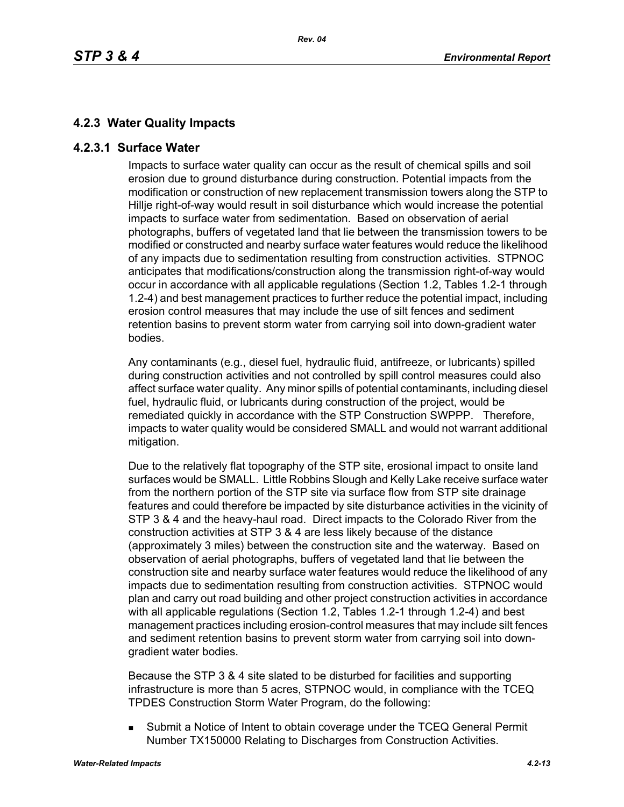# **4.2.3 Water Quality Impacts**

# **4.2.3.1 Surface Water**

Impacts to surface water quality can occur as the result of chemical spills and soil erosion due to ground disturbance during construction. Potential impacts from the modification or construction of new replacement transmission towers along the STP to Hillje right-of-way would result in soil disturbance which would increase the potential impacts to surface water from sedimentation. Based on observation of aerial photographs, buffers of vegetated land that lie between the transmission towers to be modified or constructed and nearby surface water features would reduce the likelihood of any impacts due to sedimentation resulting from construction activities. STPNOC anticipates that modifications/construction along the transmission right-of-way would occur in accordance with all applicable regulations (Section 1.2, Tables 1.2-1 through 1.2-4) and best management practices to further reduce the potential impact, including erosion control measures that may include the use of silt fences and sediment retention basins to prevent storm water from carrying soil into down-gradient water bodies.

Any contaminants (e.g., diesel fuel, hydraulic fluid, antifreeze, or lubricants) spilled during construction activities and not controlled by spill control measures could also affect surface water quality. Any minor spills of potential contaminants, including diesel fuel, hydraulic fluid, or lubricants during construction of the project, would be remediated quickly in accordance with the STP Construction SWPPP. Therefore, impacts to water quality would be considered SMALL and would not warrant additional mitigation.

Due to the relatively flat topography of the STP site, erosional impact to onsite land surfaces would be SMALL. Little Robbins Slough and Kelly Lake receive surface water from the northern portion of the STP site via surface flow from STP site drainage features and could therefore be impacted by site disturbance activities in the vicinity of STP 3 & 4 and the heavy-haul road. Direct impacts to the Colorado River from the construction activities at STP 3 & 4 are less likely because of the distance (approximately 3 miles) between the construction site and the waterway. Based on observation of aerial photographs, buffers of vegetated land that lie between the construction site and nearby surface water features would reduce the likelihood of any impacts due to sedimentation resulting from construction activities. STPNOC would plan and carry out road building and other project construction activities in accordance with all applicable regulations (Section 1.2, Tables 1.2-1 through 1.2-4) and best management practices including erosion-control measures that may include silt fences and sediment retention basins to prevent storm water from carrying soil into downgradient water bodies.

Because the STP 3 & 4 site slated to be disturbed for facilities and supporting infrastructure is more than 5 acres, STPNOC would, in compliance with the TCEQ TPDES Construction Storm Water Program, do the following:

**Submit a Notice of Intent to obtain coverage under the TCEQ General Permit** Number TX150000 Relating to Discharges from Construction Activities.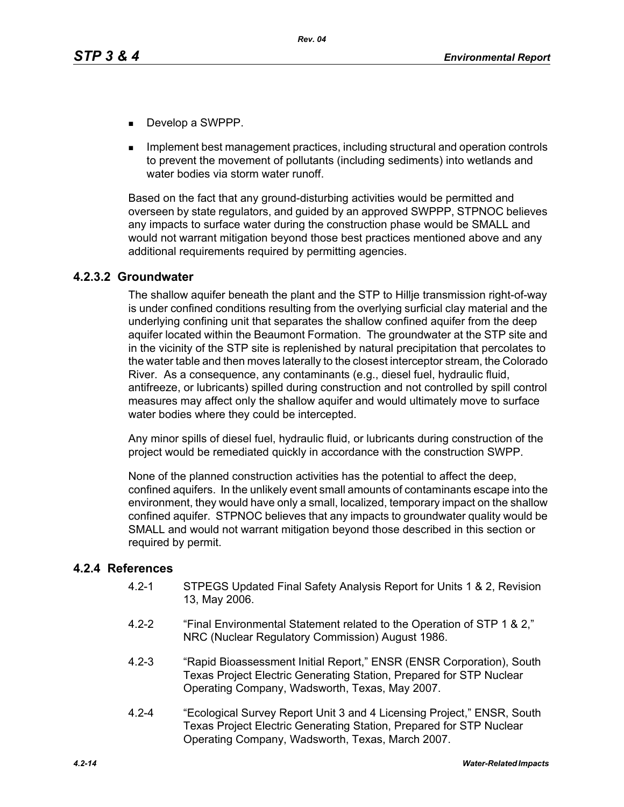- Develop a SWPPP.
- Implement best management practices, including structural and operation controls to prevent the movement of pollutants (including sediments) into wetlands and water bodies via storm water runoff.

Based on the fact that any ground-disturbing activities would be permitted and overseen by state regulators, and guided by an approved SWPPP, STPNOC believes any impacts to surface water during the construction phase would be SMALL and would not warrant mitigation beyond those best practices mentioned above and any additional requirements required by permitting agencies.

# **4.2.3.2 Groundwater**

The shallow aquifer beneath the plant and the STP to Hillje transmission right-of-way is under confined conditions resulting from the overlying surficial clay material and the underlying confining unit that separates the shallow confined aquifer from the deep aquifer located within the Beaumont Formation. The groundwater at the STP site and in the vicinity of the STP site is replenished by natural precipitation that percolates to the water table and then moves laterally to the closest interceptor stream, the Colorado River. As a consequence, any contaminants (e.g., diesel fuel, hydraulic fluid, antifreeze, or lubricants) spilled during construction and not controlled by spill control measures may affect only the shallow aquifer and would ultimately move to surface water bodies where they could be intercepted.

Any minor spills of diesel fuel, hydraulic fluid, or lubricants during construction of the project would be remediated quickly in accordance with the construction SWPP.

None of the planned construction activities has the potential to affect the deep, confined aquifers. In the unlikely event small amounts of contaminants escape into the environment, they would have only a small, localized, temporary impact on the shallow confined aquifer. STPNOC believes that any impacts to groundwater quality would be SMALL and would not warrant mitigation beyond those described in this section or required by permit.

## **4.2.4 References**

- 4.2-1 STPEGS Updated Final Safety Analysis Report for Units 1 & 2, Revision 13, May 2006.
- 4.2-2 "Final Environmental Statement related to the Operation of STP 1 & 2," NRC (Nuclear Regulatory Commission) August 1986.
- 4.2-3 "Rapid Bioassessment Initial Report," ENSR (ENSR Corporation), South Texas Project Electric Generating Station, Prepared for STP Nuclear Operating Company, Wadsworth, Texas, May 2007.
- 4.2-4 "Ecological Survey Report Unit 3 and 4 Licensing Project," ENSR, South Texas Project Electric Generating Station, Prepared for STP Nuclear Operating Company, Wadsworth, Texas, March 2007.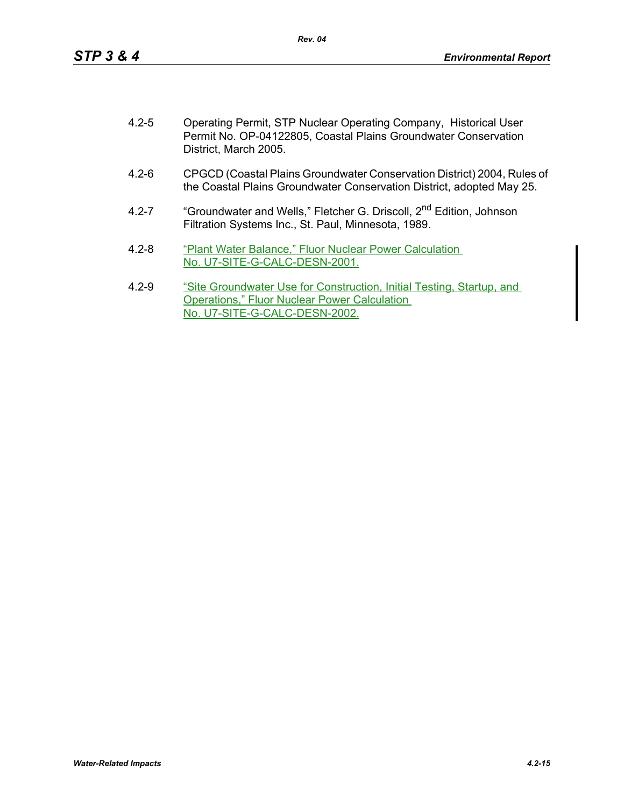| $4.2 - 5$ | Operating Permit, STP Nuclear Operating Company, Historical User<br>Permit No. OP-04122805, Coastal Plains Groundwater Conservation<br>District, March 2005. |
|-----------|--------------------------------------------------------------------------------------------------------------------------------------------------------------|
| $4.2 - 6$ | CPGCD (Coastal Plains Groundwater Conservation District) 2004, Rules of<br>the Coastal Plains Groundwater Conservation District, adopted May 25.             |
| $4.2 - 7$ | "Groundwater and Wells," Fletcher G. Driscoll, 2 <sup>nd</sup> Edition, Johnson<br>Filtration Systems Inc., St. Paul, Minnesota, 1989.                       |
| $4.2 - 8$ | "Plant Water Balance," Fluor Nuclear Power Calculation<br>No. U7-SITE-G-CALC-DESN-2001.                                                                      |

4.2-9 "Site Groundwater Use for Construction, Initial Testing, Startup, and Operations," Fluor Nuclear Power Calculation No. U7-SITE-G-CALC-DESN-2002.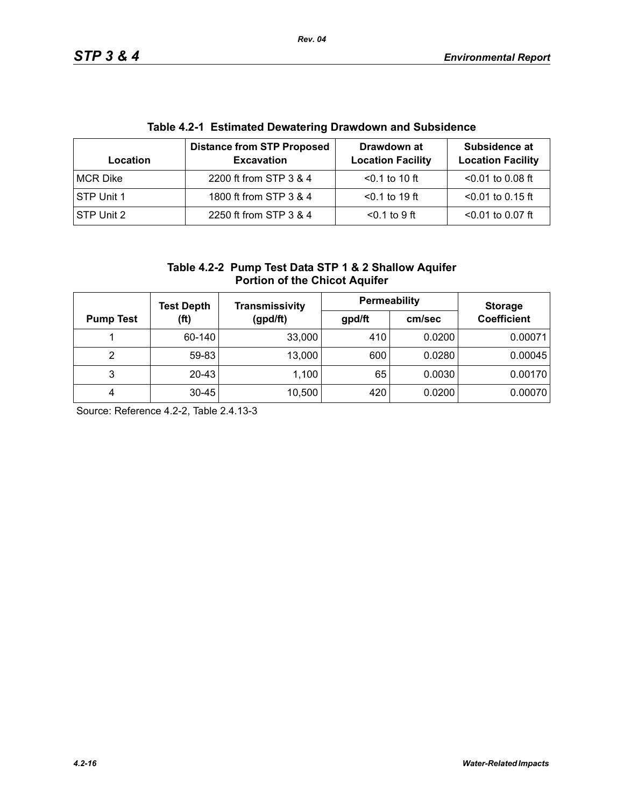| Table 4.2-T EStimated Dewatering Drawdown and Subsidence |                                                        |                                         |                                           |  |  |
|----------------------------------------------------------|--------------------------------------------------------|-----------------------------------------|-------------------------------------------|--|--|
| Location                                                 | <b>Distance from STP Proposed</b><br><b>Excavation</b> | Drawdown at<br><b>Location Facility</b> | Subsidence at<br><b>Location Facility</b> |  |  |
| MCR Dike                                                 | 2200 ft from STP 3 & 4                                 | $< 0.1$ to 10 ft                        | $< 0.01$ to 0.08 ft                       |  |  |
| STP Unit 1                                               | 1800 ft from STP 3 & 4                                 | $< 0.1$ to 19 ft                        | $<$ 0.01 to 0.15 ft                       |  |  |
| STP Unit 2                                               | 2250 ft from STP 3 & 4                                 | $0.1$ to 9 ft                           | $< 0.01$ to 0.07 ft                       |  |  |

# **Table 4.2-1 Estimated Dewatering Drawdown and Subsidence**

| Table 4.2-2 Pump Test Data STP 1 & 2 Shallow Aquifer |
|------------------------------------------------------|
| <b>Portion of the Chicot Aquifer</b>                 |

|                          | <b>Test Depth</b> | Transmissivity | <b>Permeability</b> |                    | <b>Storage</b> |
|--------------------------|-------------------|----------------|---------------------|--------------------|----------------|
| (ft)<br><b>Pump Test</b> | (gpd/ft)          | gpd/ft         | cm/sec              | <b>Coefficient</b> |                |
|                          | 60-140            | 33,000         | 410                 | 0.0200             | 0.00071        |
| 2                        | 59-83             | 13,000         | 600                 | 0.0280             | 0.00045        |
| 3                        | $20 - 43$         | 1,100          | 65                  | 0.0030             | 0.00170        |
| 4                        | $30 - 45$         | 10,500         | 420                 | 0.0200             | 0.00070        |

Source: Reference 4.2-2, Table 2.4.13-3